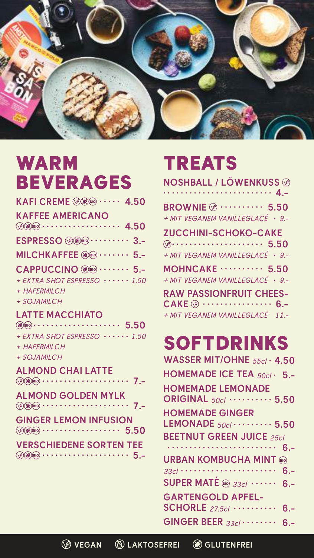



# WARM BEVERAGES

**KAFI CREME ••••• 4.50**

### **KAFFEE AMERICANO**

- **•••••••••••••••••• 4.50**
- **ESPRESSO ••••••••• 3.-**
- **MILCHKAFFEE ••••••• 5.-**
- **CAPPUCCINO ••••••• 5.-**
- *+ EXTRA SHOT ESPRESSO* **••••••** *1.50*

*+ HAFERMILCH*

*+ SOJAMILCH*

## **LATTE MACCHIATO**

- **•••••••••••••••••••• 5.50**
- *+ EXTRA SHOT ESPRESSO* **••••••** *1.50*
- *+ HAFERMILCH*
- *+ SOJAMILCH*

## **ALMOND CHAI LATTE**

| $\n  ② ② ② ④ ④ ④ ④ ④ ④ ④ ② ④ ② ④ ④ ④ ④ ④ ③ ② ④ ④ ③ ④ ③ ④ ③ $ |  |  |
|--------------------------------------------------------------|--|--|
|--------------------------------------------------------------|--|--|

### **ALMOND GOLDEN MYLK •••••••••••••••••••• 7.-**

### **GINGER LEMON INFUSION •••••••••••••••••• 5.50**

#### **VERSCHIEDENE SORTEN TEE •••••••••••••••••••• 5.-**



- **NOSHBALL / LÖWENKUSS ••••••••••••••••••••••••• 4.-**
- **BROWNIE •••••••••• 5.50**
- *+ MIT VEGANEM VANILLEGLACÉ* **•** *9.-*
- **ZUCCHINI-SCHOKO-CAKE ••••••••••••••••••••• 5.50**
- *+ MIT VEGANEM VANILLEGLACÉ* **•** *9.-*
- **MOHNCAKE •••••••••• 5.50** *+ MIT VEGANEM VANILLEGLACÉ* **•** *9.-*

**RAW PASSIONFRUIT CHEES-CAKE •••••••••••••••• 6.-** *+ MIT VEGANEM VANILLEGLACÉ 11.-*

## SOFTDRINKS **WASSER MIT/OHNE** *55cl* **• 4.50 HOMEMADE ICE TEA** *50cl* **• 5.- HOMEMADE LEMONADE ORIGINAL** *50cl* **•••••••••• 5.50 HOMEMADE GINGER LEMONADE** *50cl* **••••••••• 5.50**



**GINGER BEER** *33cl* **•••••••• 6.-**